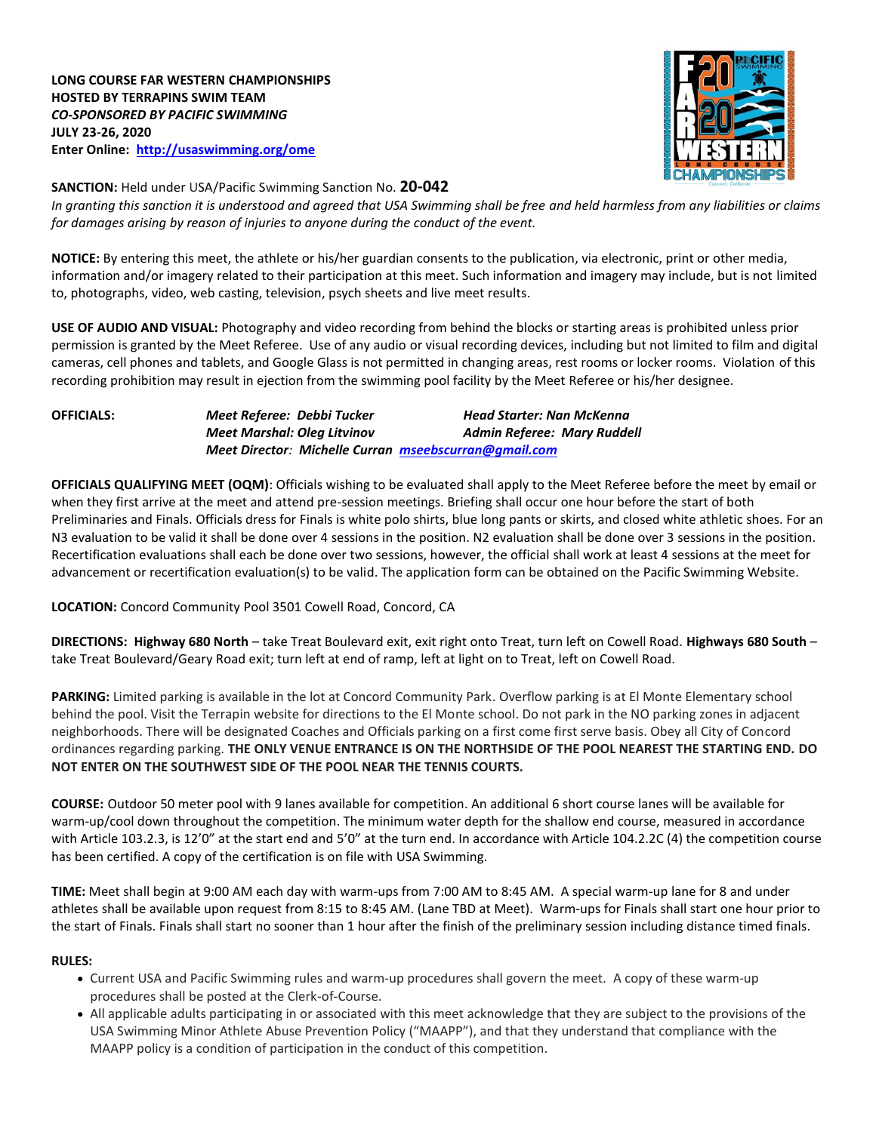

## **SANCTION:** Held under USA/Pacific Swimming Sanction No. **20-042**

*In granting this sanction it is understood and agreed that USA Swimming shall be free and held harmless from any liabilities or claims for damages arising by reason of injuries to anyone during the conduct of the event.*

**NOTICE:** By entering this meet, the athlete or his/her guardian consents to the publication, via electronic, print or other media, information and/or imagery related to their participation at this meet. Such information and imagery may include, but is not limited to, photographs, video, web casting, television, psych sheets and live meet results.

**USE OF AUDIO AND VISUAL:** Photography and video recording from behind the blocks or starting areas is prohibited unless prior permission is granted by the Meet Referee. Use of any audio or visual recording devices, including but not limited to film and digital cameras, cell phones and tablets, and Google Glass is not permitted in changing areas, rest rooms or locker rooms. Violation of this recording prohibition may result in ejection from the swimming pool facility by the Meet Referee or his/her designee.

**OFFICIALS:** *Meet Referee: Debbi Tucker Head Starter: Nan McKenna Meet Marshal: Oleg Litvinov Admin Referee:**Mary Ruddell Meet Director: Michelle Curran [mseebscurran@gmail.com](mailto:mseebscurran@gmail.com)*

**OFFICIALS QUALIFYING MEET (OQM)**: Officials wishing to be evaluated shall apply to the Meet Referee before the meet by email or when they first arrive at the meet and attend pre-session meetings. Briefing shall occur one hour before the start of both Preliminaries and Finals. Officials dress for Finals is white polo shirts, blue long pants or skirts, and closed white athletic shoes. For an N3 evaluation to be valid it shall be done over 4 sessions in the position. N2 evaluation shall be done over 3 sessions in the position. Recertification evaluations shall each be done over two sessions, however, the official shall work at least 4 sessions at the meet for advancement or recertification evaluation(s) to be valid. The application form can be obtained on the Pacific Swimming Website.

## **LOCATION:** Concord Community Pool 3501 Cowell Road, Concord, CA

**DIRECTIONS: Highway 680 North** – take Treat Boulevard exit, exit right onto Treat, turn left on Cowell Road. **Highways 680 South** – take Treat Boulevard/Geary Road exit; turn left at end of ramp, left at light on to Treat, left on Cowell Road.

**PARKING:** Limited parking is available in the lot at Concord Community Park. Overflow parking is at El Monte Elementary school behind the pool. Visit the Terrapin website for directions to the El Monte school. Do not park in the NO parking zones in adjacent neighborhoods. There will be designated Coaches and Officials parking on a first come first serve basis. Obey all City of Concord ordinances regarding parking. **THE ONLY VENUE ENTRANCE IS ON THE NORTHSIDE OF THE POOL NEAREST THE STARTING END. DO NOT ENTER ON THE SOUTHWEST SIDE OF THE POOL NEAR THE TENNIS COURTS.**

**COURSE:** Outdoor 50 meter pool with 9 lanes available for competition. An additional 6 short course lanes will be available for warm-up/cool down throughout the competition. The minimum water depth for the shallow end course, measured in accordance with Article 103.2.3, is 12'0" at the start end and 5'0" at the turn end. In accordance with Article 104.2.2C (4) the competition course has been certified. A copy of the certification is on file with USA Swimming.

**TIME:** Meet shall begin at 9:00 AM each day with warm-ups from 7:00 AM to 8:45 AM. A special warm-up lane for 8 and under athletes shall be available upon request from 8:15 to 8:45 AM. (Lane TBD at Meet). Warm-ups for Finals shall start one hour prior to the start of Finals. Finals shall start no sooner than 1 hour after the finish of the preliminary session including distance timed finals.

## **RULES:**

- Current USA and Pacific Swimming rules and warm-up procedures shall govern the meet. A copy of these warm-up procedures shall be posted at the Clerk-of-Course.
- All applicable adults participating in or associated with this meet acknowledge that they are subject to the provisions of the USA Swimming Minor Athlete Abuse Prevention Policy ("MAAPP"), and that they understand that compliance with the MAAPP policy is a condition of participation in the conduct of this competition.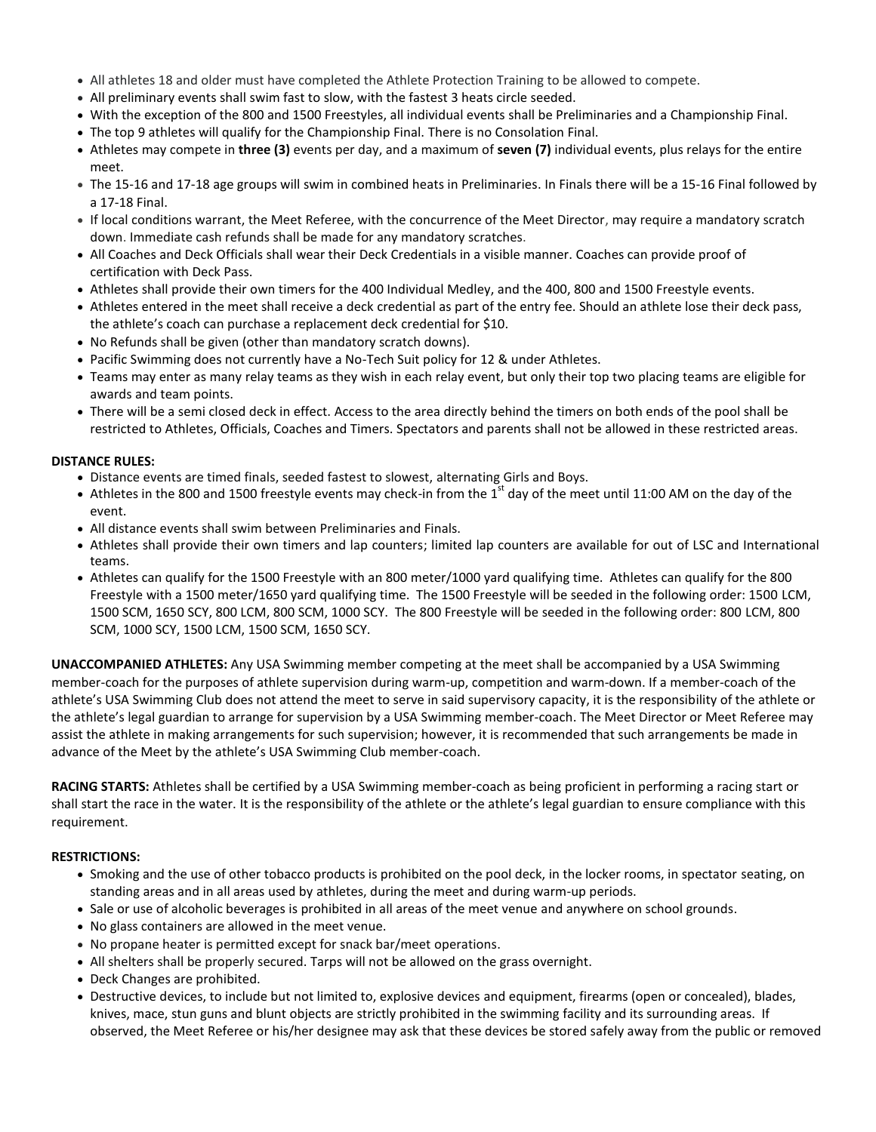- All athletes 18 and older must have completed the Athlete Protection Training to be allowed to compete.
- All preliminary events shall swim fast to slow, with the fastest 3 heats circle seeded.
- With the exception of the 800 and 1500 Freestyles, all individual events shall be Preliminaries and a Championship Final.
- The top 9 athletes will qualify for the Championship Final. There is no Consolation Final.
- Athletes may compete in **three (3)** events per day, and a maximum of **seven (7)** individual events, plus relays for the entire meet.
- The 15-16 and 17-18 age groups will swim in combined heats in Preliminaries. In Finals there will be a 15-16 Final followed by a 17-18 Final.
- If local conditions warrant, the Meet Referee, with the concurrence of the Meet Director, may require a mandatory scratch down. Immediate cash refunds shall be made for any mandatory scratches.
- All Coaches and Deck Officials shall wear their Deck Credentials in a visible manner. Coaches can provide proof of certification with Deck Pass.
- Athletes shall provide their own timers for the 400 Individual Medley, and the 400, 800 and 1500 Freestyle events.
- Athletes entered in the meet shall receive a deck credential as part of the entry fee. Should an athlete lose their deck pass, the athlete's coach can purchase a replacement deck credential for \$10.
- No Refunds shall be given (other than mandatory scratch downs).
- Pacific Swimming does not currently have a No-Tech Suit policy for 12 & under Athletes.
- Teams may enter as many relay teams as they wish in each relay event, but only their top two placing teams are eligible for awards and team points.
- There will be a semi closed deck in effect. Access to the area directly behind the timers on both ends of the pool shall be restricted to Athletes, Officials, Coaches and Timers. Spectators and parents shall not be allowed in these restricted areas.

## **DISTANCE RULES:**

- Distance events are timed finals, seeded fastest to slowest, alternating Girls and Boys.
- Athletes in the 800 and 1500 freestyle events may check-in from the 1<sup>st</sup> day of the meet until 11:00 AM on the day of the event.
- All distance events shall swim between Preliminaries and Finals.
- Athletes shall provide their own timers and lap counters; limited lap counters are available for out of LSC and International teams.
- Athletes can qualify for the 1500 Freestyle with an 800 meter/1000 yard qualifying time. Athletes can qualify for the 800 Freestyle with a 1500 meter/1650 yard qualifying time. The 1500 Freestyle will be seeded in the following order: 1500 LCM, 1500 SCM, 1650 SCY, 800 LCM, 800 SCM, 1000 SCY. The 800 Freestyle will be seeded in the following order: 800 LCM, 800 SCM, 1000 SCY, 1500 LCM, 1500 SCM, 1650 SCY.

**UNACCOMPANIED ATHLETES:** Any USA Swimming member competing at the meet shall be accompanied by a USA Swimming member-coach for the purposes of athlete supervision during warm-up, competition and warm-down. If a member-coach of the athlete's USA Swimming Club does not attend the meet to serve in said supervisory capacity, it is the responsibility of the athlete or the athlete's legal guardian to arrange for supervision by a USA Swimming member-coach. The Meet Director or Meet Referee may assist the athlete in making arrangements for such supervision; however, it is recommended that such arrangements be made in advance of the Meet by the athlete's USA Swimming Club member-coach.

**RACING STARTS:** Athletes shall be certified by a USA Swimming member-coach as being proficient in performing a racing start or shall start the race in the water. It is the responsibility of the athlete or the athlete's legal guardian to ensure compliance with this requirement.

## **RESTRICTIONS:**

- Smoking and the use of other tobacco products is prohibited on the pool deck, in the locker rooms, in spectator seating, on standing areas and in all areas used by athletes, during the meet and during warm-up periods.
- Sale or use of alcoholic beverages is prohibited in all areas of the meet venue and anywhere on school grounds.
- No glass containers are allowed in the meet venue.
- No propane heater is permitted except for snack bar/meet operations.
- All shelters shall be properly secured. Tarps will not be allowed on the grass overnight.
- Deck Changes are prohibited.
- Destructive devices, to include but not limited to, explosive devices and equipment, firearms (open or concealed), blades, knives, mace, stun guns and blunt objects are strictly prohibited in the swimming facility and its surrounding areas. If observed, the Meet Referee or his/her designee may ask that these devices be stored safely away from the public or removed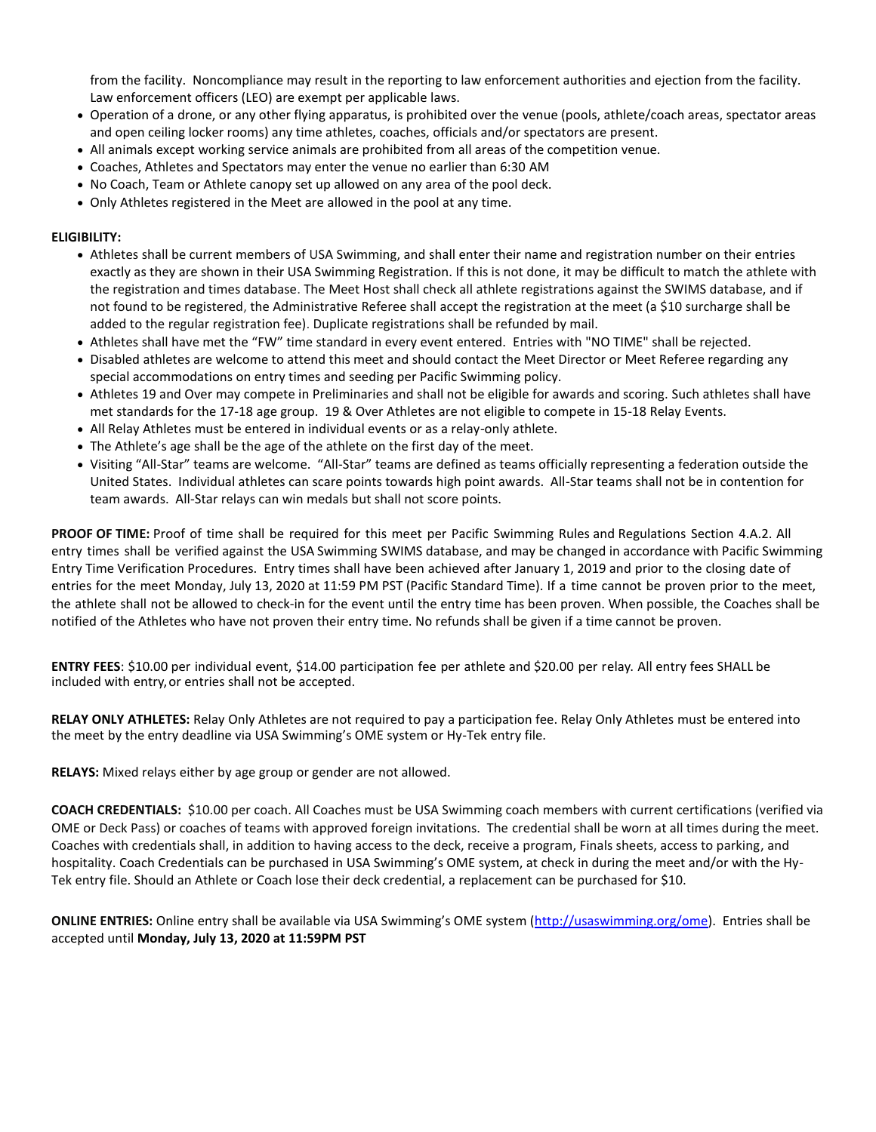from the facility. Noncompliance may result in the reporting to law enforcement authorities and ejection from the facility. Law enforcement officers (LEO) are exempt per applicable laws.

- Operation of a drone, or any other flying apparatus, is prohibited over the venue (pools, athlete/coach areas, spectator areas and open ceiling locker rooms) any time athletes, coaches, officials and/or spectators are present.
- All animals except working service animals are prohibited from all areas of the competition venue.
- Coaches, Athletes and Spectators may enter the venue no earlier than 6:30 AM
- No Coach, Team or Athlete canopy set up allowed on any area of the pool deck.
- Only Athletes registered in the Meet are allowed in the pool at any time.

#### **ELIGIBILITY:**

- Athletes shall be current members of USA Swimming, and shall enter their name and registration number on their entries exactly as they are shown in their USA Swimming Registration. If this is not done, it may be difficult to match the athlete with the registration and times database. The Meet Host shall check all athlete registrations against the SWIMS database, and if not found to be registered, the Administrative Referee shall accept the registration at the meet (a \$10 surcharge shall be added to the regular registration fee). Duplicate registrations shall be refunded by mail.
- Athletes shall have met the "FW" time standard in every event entered. Entries with "NO TIME" shall be rejected.
- Disabled athletes are welcome to attend this meet and should contact the Meet Director or Meet Referee regarding any special accommodations on entry times and seeding per Pacific Swimming policy.
- Athletes 19 and Over may compete in Preliminaries and shall not be eligible for awards and scoring. Such athletes shall have met standards for the 17-18 age group. 19 & Over Athletes are not eligible to compete in 15-18 Relay Events.
- All Relay Athletes must be entered in individual events or as a relay-only athlete.
- The Athlete's age shall be the age of the athlete on the first day of the meet.
- Visiting "All-Star" teams are welcome. "All-Star" teams are defined as teams officially representing a federation outside the United States. Individual athletes can scare points towards high point awards. All-Star teams shall not be in contention for team awards. All-Star relays can win medals but shall not score points.

**PROOF OF TIME:** Proof of time shall be required for this meet per Pacific Swimming Rules and Regulations Section 4.A.2. All entry times shall be verified against the USA Swimming SWIMS database, and may be changed in accordance with Pacific Swimming Entry Time Verification Procedures. Entry times shall have been achieved after January 1, 2019 and prior to the closing date of entries for the meet Monday, July 13, 2020 at 11:59 PM PST (Pacific Standard Time). If a time cannot be proven prior to the meet, the athlete shall not be allowed to check-in for the event until the entry time has been proven. When possible, the Coaches shall be notified of the Athletes who have not proven their entry time. No refunds shall be given if a time cannot be proven.

**ENTRY FEES**: \$10.00 per individual event, \$14.00 participation fee per athlete and \$20.00 per relay. All entry fees SHALL be included with entry,or entries shall not be accepted.

**RELAY ONLY ATHLETES:** Relay Only Athletes are not required to pay a participation fee. Relay Only Athletes must be entered into the meet by the entry deadline via USA Swimming's OME system or Hy-Tek entry file.

**RELAYS:** Mixed relays either by age group or gender are not allowed.

**COACH CREDENTIALS:** \$10.00 per coach. All Coaches must be USA Swimming coach members with current certifications (verified via OME or Deck Pass) or coaches of teams with approved foreign invitations. The credential shall be worn at all times during the meet. Coaches with credentials shall, in addition to having access to the deck, receive a program, Finals sheets, access to parking, and hospitality. Coach Credentials can be purchased in USA Swimming's OME system, at check in during the meet and/or with the Hy-Tek entry file. Should an Athlete or Coach lose their deck credential, a replacement can be purchased for \$10.

**ONLINE ENTRIES:** Online entry shall be available via USA Swimming's OME system ([http://usaswimming.org/ome\)](http://usaswimming.org/ome). Entries shall be accepted until **Monday, July 13, 2020 at 11:59PM PST**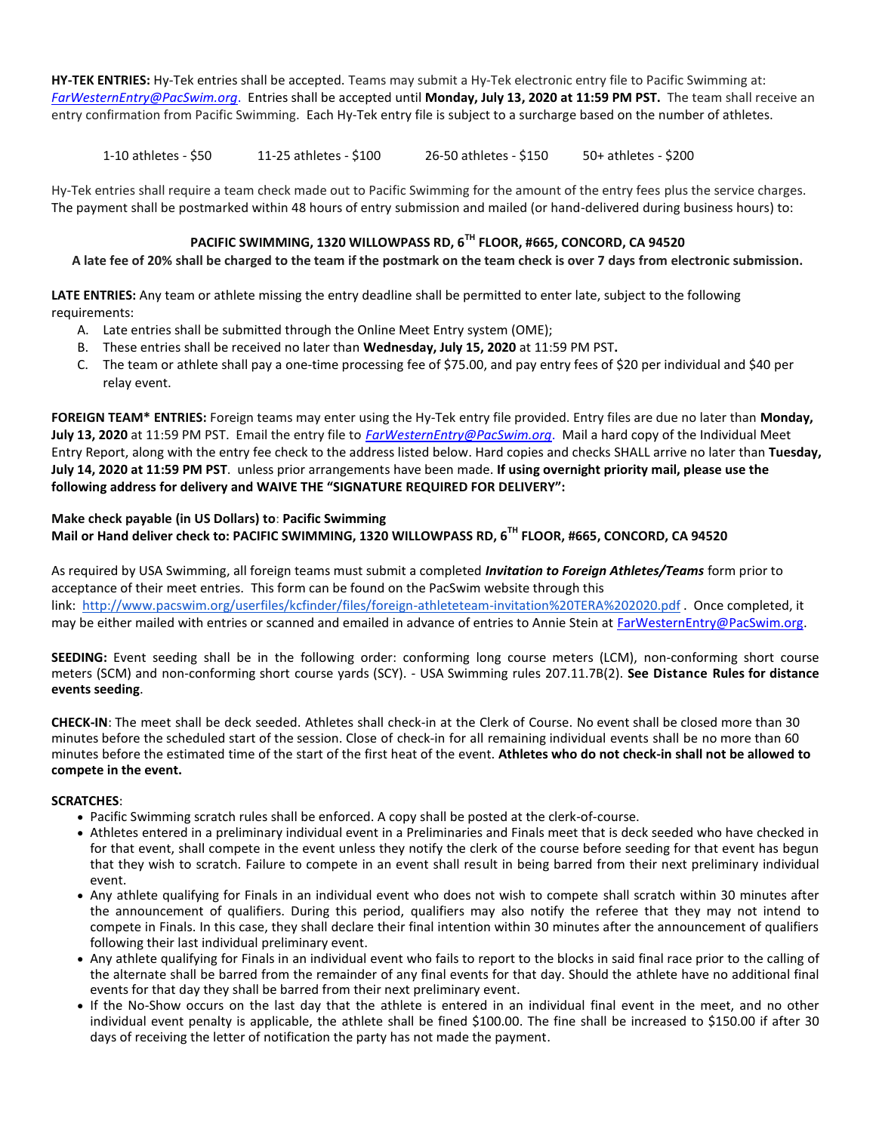**HY-TEK ENTRIES:** Hy-Tek entries shall be accepted. Teams may submit a Hy-Tek electronic entry file to Pacific Swimming at: *[FarWesternEntry@PacSwim.org](mailto:FarWesternEntry@PacSwim.org)*. Entries shall be accepted until **Monday, July 13, 2020 at 11:59 PM PST.** The team shall receive an entry confirmation from Pacific Swimming. Each Hy-Tek entry file is subject to a surcharge based on the number of athletes.

1-10 athletes - \$50 11-25 athletes - \$100 26-50 athletes - \$150 50+ athletes - \$200

Hy-Tek entries shall require a team check made out to Pacific Swimming for the amount of the entry fees plus the service charges. The payment shall be postmarked within 48 hours of entry submission and mailed (or hand-delivered during business hours) to:

# **PACIFIC SWIMMING, 1320 WILLOWPASS RD, 6TH FLOOR, #665, CONCORD, CA 94520**

## **A late fee of 20% shall be charged to the team if the postmark on the team check is over 7 days from electronic submission.**

**LATE ENTRIES:** Any team or athlete missing the entry deadline shall be permitted to enter late, subject to the following requirements:

- A. Late entries shall be submitted through the Online Meet Entry system (OME);
- B. These entries shall be received no later than **Wednesday, July 15, 2020** at 11:59 PM PST**.**
- C. The team or athlete shall pay a one-time processing fee of \$75.00, and pay entry fees of \$20 per individual and \$40 per relay event.

**FOREIGN TEAM\* ENTRIES:** Foreign teams may enter using the Hy-Tek entry file provided. Entry files are due no later than **Monday, July 13, 2020** at 11:59 PM PST. Email the entry file to *[FarWesternEntry@PacSwim.org](mailto:FarWesternEntry@PacSwim.org)*. Mail a hard copy of the Individual Meet Entry Report, along with the entry fee check to the address listed below. Hard copies and checks SHALL arrive no later than **Tuesday, July 14, 2020 at 11:59 PM PST**. unless prior arrangements have been made. **If using overnight priority mail, please use the following address for delivery and WAIVE THE "SIGNATURE REQUIRED FOR DELIVERY":**

## **Make check payable (in US Dollars) to**: **Pacific Swimming Mail or Hand deliver check to: PACIFIC SWIMMING, 1320 WILLOWPASS RD, 6TH FLOOR, #665, CONCORD, CA 94520**

As required by USA Swimming, all foreign teams must submit a completed *Invitation to Foreign Athletes/Teams* form prior to acceptance of their meet entries. This form can be found on the PacSwim website through this link:<http://www.pacswim.org/userfiles/kcfinder/files/foreign-athleteteam-invitation%20TERA%202020.pdf> . Once completed, it may be either mailed with entries or scanned and emailed in advance of entries to Annie Stein at [FarWesternEntry@PacSwim.org.](mailto:FarWesternEntry@PacSwim.org)

**SEEDING:** Event seeding shall be in the following order: conforming long course meters (LCM), non-conforming short course meters (SCM) and non-conforming short course yards (SCY). - USA Swimming rules 207.11.7B(2). **See Distance Rules for distance events seeding**.

**CHECK-IN**: The meet shall be deck seeded. Athletes shall check-in at the Clerk of Course. No event shall be closed more than 30 minutes before the scheduled start of the session. Close of check-in for all remaining individual events shall be no more than 60 minutes before the estimated time of the start of the first heat of the event. **Athletes who do not check-in shall not be allowed to compete in the event.**

## **SCRATCHES**:

- Pacific Swimming scratch rules shall be enforced. A copy shall be posted at the clerk-of-course.
- Athletes entered in a preliminary individual event in a Preliminaries and Finals meet that is deck seeded who have checked in for that event, shall compete in the event unless they notify the clerk of the course before seeding for that event has begun that they wish to scratch. Failure to compete in an event shall result in being barred from their next preliminary individual event.
- Any athlete qualifying for Finals in an individual event who does not wish to compete shall scratch within 30 minutes after the announcement of qualifiers. During this period, qualifiers may also notify the referee that they may not intend to compete in Finals. In this case, they shall declare their final intention within 30 minutes after the announcement of qualifiers following their last individual preliminary event.
- Any athlete qualifying for Finals in an individual event who fails to report to the blocks in said final race prior to the calling of the alternate shall be barred from the remainder of any final events for that day. Should the athlete have no additional final events for that day they shall be barred from their next preliminary event.
- If the No-Show occurs on the last day that the athlete is entered in an individual final event in the meet, and no other individual event penalty is applicable, the athlete shall be fined \$100.00. The fine shall be increased to \$150.00 if after 30 days of receiving the letter of notification the party has not made the payment.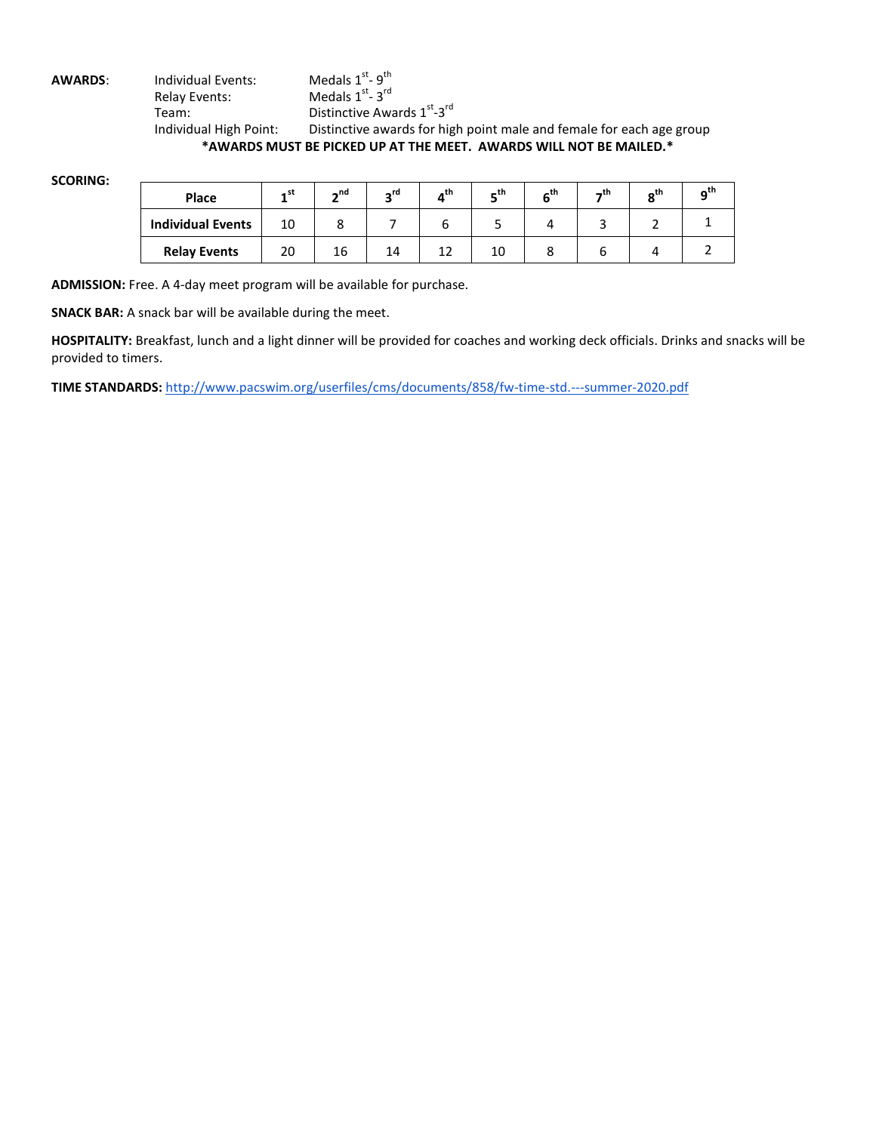**AWARDS:** Individual Events: - 9<sup>th</sup> Relay Events:  $-3<sup>rd</sup>$ Team: Distinctive Awards 1<sup>st</sup>-3<sup>rd</sup> Individual High Point: Distinctive awards for high point male and female for each age group **\*AWARDS MUST BE PICKED UP AT THE MEET. AWARDS WILL NOT BE MAILED.\***

**SCORING:**

| Place                    | ∡st | $\mathbf{A}$ nd | ∽rd | nth | _th | thے | _th | $\mathbf{e}^{\mathsf{th}}$ |  |
|--------------------------|-----|-----------------|-----|-----|-----|-----|-----|----------------------------|--|
| <b>Individual Events</b> | 10  |                 |     |     |     |     |     |                            |  |
| <b>Relay Events</b>      | 20  | 16              | 14  |     | 10  |     |     |                            |  |

**ADMISSION:** Free. A 4-day meet program will be available for purchase.

**SNACK BAR:** A snack bar will be available during the meet.

**HOSPITALITY:** Breakfast, lunch and a light dinner will be provided for coaches and working deck officials. Drinks and snacks will be provided to timers.

**TIME STANDARDS:** <http://www.pacswim.org/userfiles/cms/documents/858/fw-time-std.---summer-2020.pdf>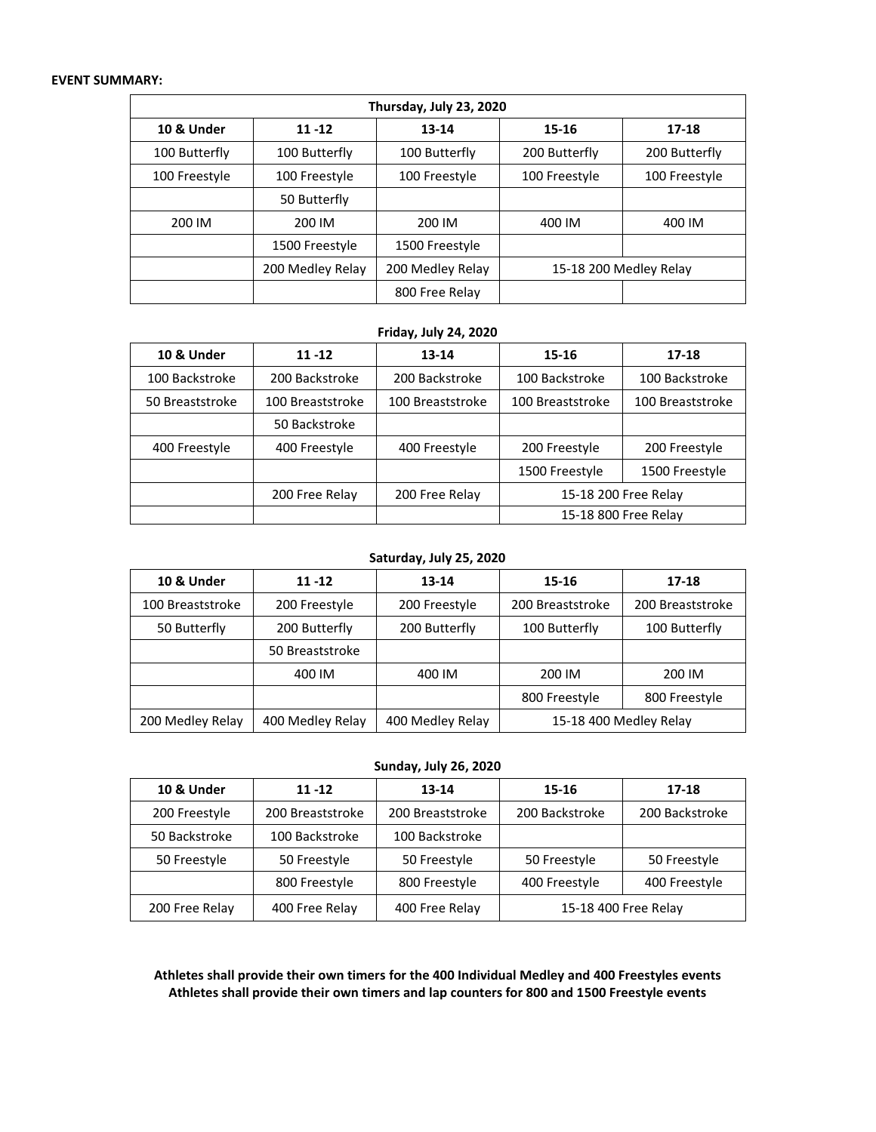#### **EVENT SUMMARY:**

| Thursday, July 23, 2020 |                  |                  |               |                        |  |  |  |
|-------------------------|------------------|------------------|---------------|------------------------|--|--|--|
| <b>10 &amp; Under</b>   | $11 - 12$        | $13 - 14$        | 15-16         | $17 - 18$              |  |  |  |
| 100 Butterfly           | 100 Butterfly    | 100 Butterfly    | 200 Butterfly | 200 Butterfly          |  |  |  |
| 100 Freestyle           | 100 Freestyle    | 100 Freestyle    | 100 Freestyle | 100 Freestyle          |  |  |  |
|                         | 50 Butterfly     |                  |               |                        |  |  |  |
| 200 IM                  | 200 IM           | 200 IM           | 400 IM        | 400 IM                 |  |  |  |
|                         | 1500 Freestyle   | 1500 Freestyle   |               |                        |  |  |  |
|                         | 200 Medley Relay | 200 Medley Relay |               | 15-18 200 Medley Relay |  |  |  |
|                         |                  | 800 Free Relay   |               |                        |  |  |  |

#### **Friday, July 24, 2020**

| <b>10 &amp; Under</b> | $11 - 12$        | 13-14            | 15-16                | 17-18                |
|-----------------------|------------------|------------------|----------------------|----------------------|
| 100 Backstroke        | 200 Backstroke   | 200 Backstroke   | 100 Backstroke       | 100 Backstroke       |
| 50 Breaststroke       | 100 Breaststroke | 100 Breaststroke | 100 Breaststroke     | 100 Breaststroke     |
|                       | 50 Backstroke    |                  |                      |                      |
| 400 Freestyle         | 400 Freestyle    | 400 Freestyle    | 200 Freestyle        | 200 Freestyle        |
|                       |                  |                  | 1500 Freestyle       | 1500 Freestyle       |
|                       | 200 Free Relay   | 200 Free Relay   |                      | 15-18 200 Free Relay |
|                       |                  |                  | 15-18 800 Free Relay |                      |

#### **Saturday, July 25, 2020**

| <b>10 &amp; Under</b> | $11 - 12$        | 13-14            | 15-16            | 17-18                  |
|-----------------------|------------------|------------------|------------------|------------------------|
| 100 Breaststroke      | 200 Freestyle    | 200 Freestyle    | 200 Breaststroke | 200 Breaststroke       |
| 50 Butterfly          | 200 Butterfly    | 200 Butterfly    | 100 Butterfly    | 100 Butterfly          |
|                       | 50 Breaststroke  |                  |                  |                        |
|                       | 400 IM           | 400 IM           | 200 IM           | 200 IM                 |
|                       |                  |                  | 800 Freestyle    | 800 Freestyle          |
| 200 Medley Relay      | 400 Medley Relay | 400 Medley Relay |                  | 15-18 400 Medley Relay |

## **Sunday, July 26, 2020**

| 10 & Under     | $11 - 12$        | 13-14            | 15-16          | 17-18                |
|----------------|------------------|------------------|----------------|----------------------|
| 200 Freestyle  | 200 Breaststroke | 200 Breaststroke | 200 Backstroke | 200 Backstroke       |
| 50 Backstroke  | 100 Backstroke   | 100 Backstroke   |                |                      |
| 50 Freestyle   | 50 Freestyle     | 50 Freestyle     | 50 Freestyle   | 50 Freestyle         |
|                | 800 Freestyle    | 800 Freestyle    | 400 Freestyle  | 400 Freestyle        |
| 200 Free Relay | 400 Free Relay   | 400 Free Relay   |                | 15-18 400 Free Relay |

**Athletes shall provide their own timers for the 400 Individual Medley and 400 Freestyles events Athletes shall provide their own timers and lap counters for 800 and 1500 Freestyle events**